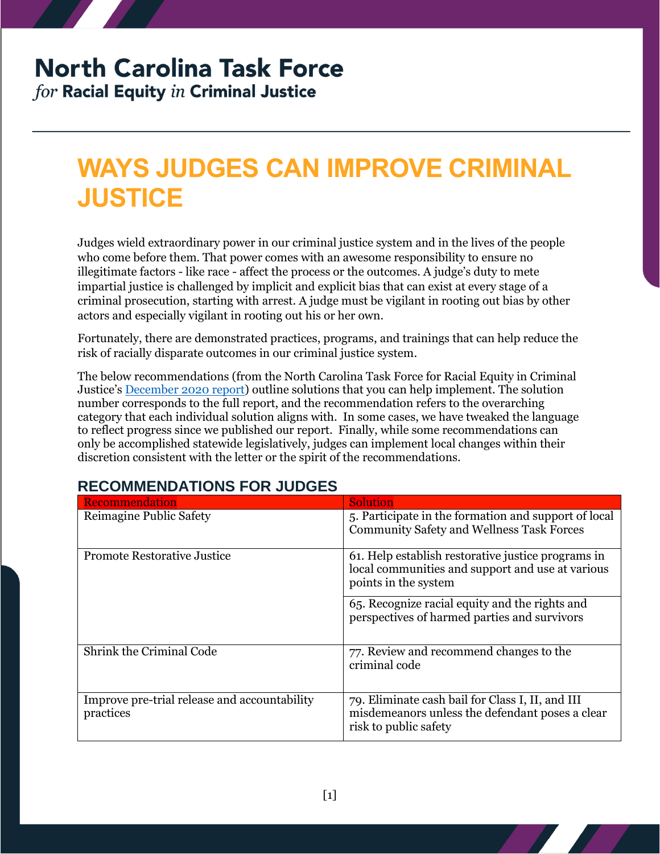# **North Carolina Task Force**

for Racial Equity in Criminal Justice

## **WAYS JUDGES CAN IMPROVE CRIMINAL JUSTICE**

Judges wield extraordinary power in our criminal justice system and in the lives of the people who come before them. That power comes with an awesome responsibility to ensure no illegitimate factors - like race - affect the process or the outcomes. A judge's duty to mete impartial justice is challenged by implicit and explicit bias that can exist at every stage of a criminal prosecution, starting with arrest. A judge must be vigilant in rooting out bias by other actors and especially vigilant in rooting out his or her own.

Fortunately, there are demonstrated practices, programs, and trainings that can help reduce the risk of racially disparate outcomes in our criminal justice system.

The below recommendations (from the North Carolina Task Force for Racial Equity in Criminal Justice's [December 2020 report\)](https://ncdoj.gov/wp-content/uploads/2021/02/TRECReportFinal_02262021.pdf) outline solutions that you can help implement. The solution number corresponds to the full report, and the recommendation refers to the overarching category that each individual solution aligns with. In some cases, we have tweaked the language to reflect progress since we published our report. Finally, while some recommendations can only be accomplished statewide legislatively, judges can implement local changes within their discretion consistent with the letter or the spirit of the recommendations.

#### **RECOMMENDATIONS FOR JUDGES**

| Recommendation                                            | <b>Solution</b>                                                                                                                |
|-----------------------------------------------------------|--------------------------------------------------------------------------------------------------------------------------------|
| Reimagine Public Safety                                   | 5. Participate in the formation and support of local<br><b>Community Safety and Wellness Task Forces</b>                       |
| <b>Promote Restorative Justice</b>                        | 61. Help establish restorative justice programs in<br>local communities and support and use at various<br>points in the system |
|                                                           | 65. Recognize racial equity and the rights and<br>perspectives of harmed parties and survivors                                 |
| Shrink the Criminal Code                                  | 77. Review and recommend changes to the<br>criminal code                                                                       |
| Improve pre-trial release and accountability<br>practices | 79. Eliminate cash bail for Class I, II, and III<br>misdemeanors unless the defendant poses a clear<br>risk to public safety   |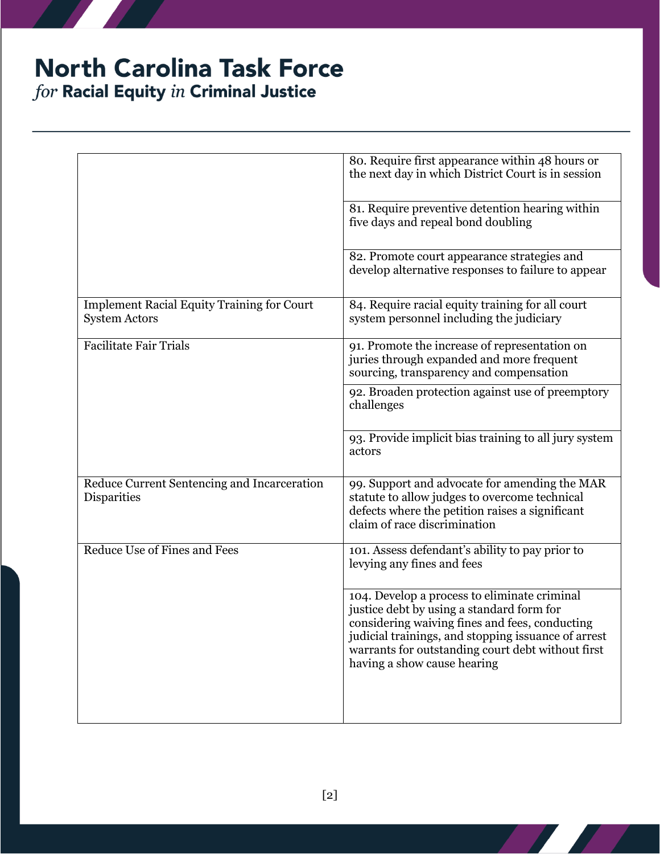### **North Carolina Task Force** for Racial Equity in Criminal Justice

80. Require first appearance within 48 hours or the next day in which District Court is in session 81. Require preventive detention hearing within five days and repeal bond doubling 82. Promote court appearance strategies and develop alternative responses to failure to appear Implement Racial Equity Training for Court System Actors 84. Require racial equity training for all court system personnel including the judiciary Facilitate Fair Trials 91. Promote the increase of representation on juries through expanded and more frequent sourcing, transparency and compensation 92. Broaden protection against use of preemptory challenges 93. Provide implicit bias training to all jury system actors Reduce Current Sentencing and Incarceration **Disparities** 99. Support and advocate for amending the MAR statute to allow judges to overcome technical defects where the petition raises a significant claim of race discrimination Reduce Use of Fines and Fees 101. Assess defendant's ability to pay prior to levying any fines and fees 104. Develop a process to eliminate criminal justice debt by using a standard form for considering waiving fines and fees, conducting judicial trainings, and stopping issuance of arrest warrants for outstanding court debt without first having a show cause hearing